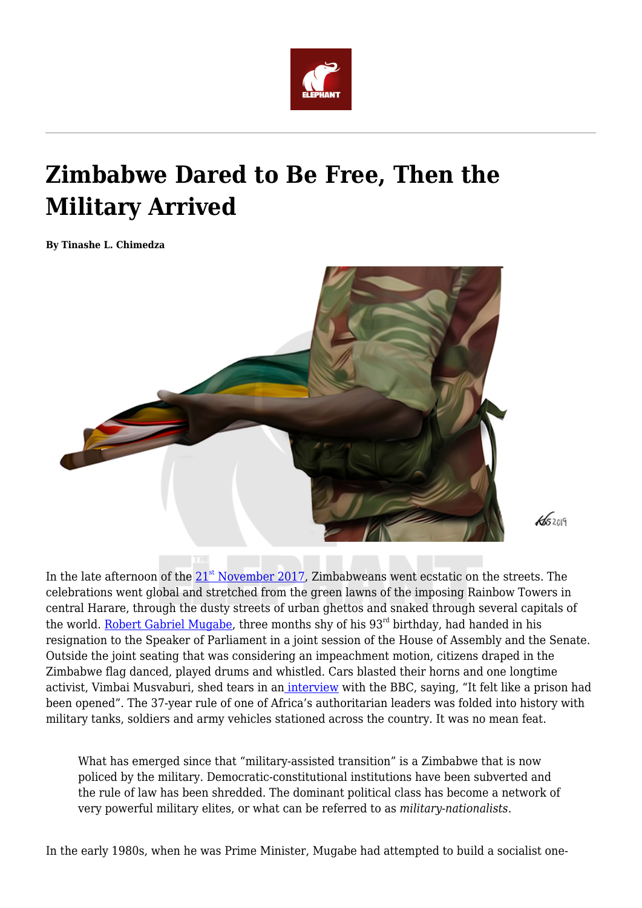

# **Zimbabwe Dared to Be Free, Then the Military Arrived**

**By Tinashe L. Chimedza**



 $45209$ 

In the late afternoon of the  $21<sup>st</sup>$  $21<sup>st</sup>$  $21<sup>st</sup>$  [November 2017,](https://www.bbc.com/news/world-africa-42072673) Zimbabweans went ecstatic on the streets. The celebrations went global and stretched from the green lawns of the imposing Rainbow Towers in central Harare, through the dusty streets of urban ghettos and snaked through several capitals of the world. [Robert Gabriel Mugabe](https://www.bbc.com/news/world-africa-42072673), three months shy of his  $93<sup>rd</sup>$  birthday, had handed in his resignation to the Speaker of Parliament in a joint session of the House of Assembly and the Senate. Outside the joint seating that was considering an impeachment motion, citizens draped in the Zimbabwe flag danced, played drums and whistled. Cars blasted their horns and one longtime activist, Vimbai Musvaburi, shed tears in an *interview* with the BBC, saying, "It felt like a prison had been opened". The 37-year rule of one of Africa's authoritarian leaders was folded into history with military tanks, soldiers and army vehicles stationed across the country. It was no mean feat.

What has emerged since that "military-assisted transition" is a Zimbabwe that is now policed by the military. Democratic-constitutional institutions have been subverted and the rule of law has been shredded. The dominant political class has become a network of very powerful military elites, or what can be referred to as *military-nationalists*.

In the early 1980s, when he was Prime Minister, Mugabe had attempted to build a socialist one-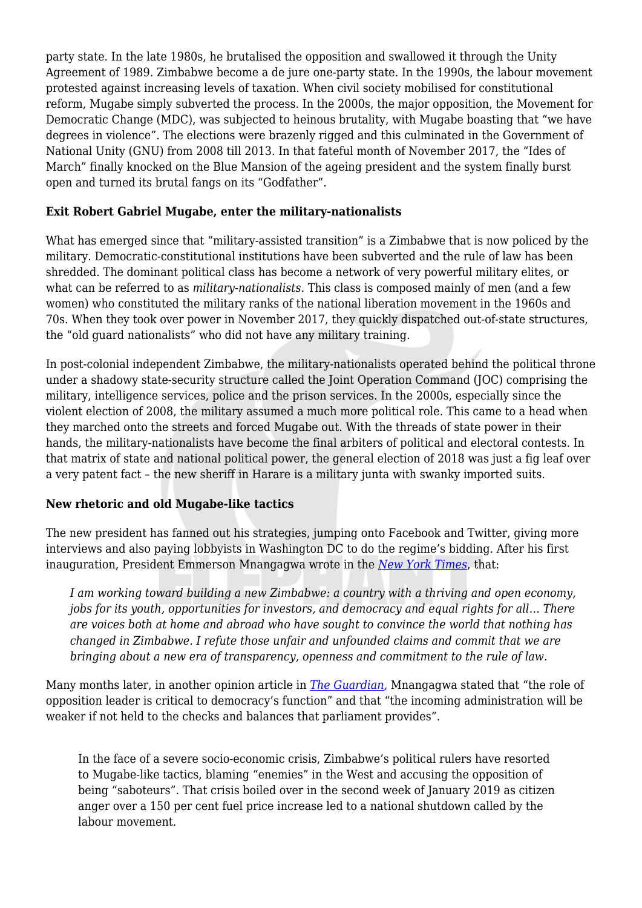party state. In the late 1980s, he brutalised the opposition and swallowed it through the Unity Agreement of 1989. Zimbabwe become a de jure one-party state. In the 1990s, the labour movement protested against increasing levels of taxation. When civil society mobilised for constitutional reform, Mugabe simply subverted the process. In the 2000s, the major opposition, the Movement for Democratic Change (MDC), was subjected to heinous brutality, with Mugabe boasting that "we have degrees in violence". The elections were brazenly rigged and this culminated in the Government of National Unity (GNU) from 2008 till 2013. In that fateful month of November 2017, the "Ides of March" finally knocked on the Blue Mansion of the ageing president and the system finally burst open and turned its brutal fangs on its "Godfather".

## **Exit Robert Gabriel Mugabe, enter the military-nationalists**

What has emerged since that "military-assisted transition" is a Zimbabwe that is now policed by the military. Democratic-constitutional institutions have been subverted and the rule of law has been shredded. The dominant political class has become a network of very powerful military elites, or what can be referred to as *military-nationalists*. This class is composed mainly of men (and a few women) who constituted the military ranks of the national liberation movement in the 1960s and 70s. When they took over power in November 2017, they quickly dispatched out-of-state structures, the "old guard nationalists" who did not have any military training.

In post-colonial independent Zimbabwe, the military-nationalists operated behind the political throne under a shadowy state-security structure called the Joint Operation Command (JOC) comprising the military, intelligence services, police and the prison services. In the 2000s, especially since the violent election of 2008, the military assumed a much more political role. This came to a head when they marched onto the streets and forced Mugabe out. With the threads of state power in their hands, the military-nationalists have become the final arbiters of political and electoral contests. In that matrix of state and national political power, the general election of 2018 was just a fig leaf over a very patent fact – the new sheriff in Harare is a military junta with swanky imported suits.

## **New rhetoric and old Mugabe-like tactics**

The new president has fanned out his strategies, jumping onto Facebook and Twitter, giving more interviews and also paying lobbyists in Washington DC to do the regime's bidding. After his first inauguration, President Emmerson Mnangagwa wrote in the *[New York Times](https://www.nytimes.com/2018/03/11/opinion/zimbabwe-emmerson-mnangagwa.html)*, that:

*I am working toward building a new Zimbabwe: a country with a thriving and open economy, jobs for its youth, opportunities for investors, and democracy and equal rights for all… There are voices both at home and abroad who have sought to convince the world that nothing has changed in Zimbabwe. I refute those unfair and unfounded claims and commit that we are bringing about a new era of transparency, openness and commitment to the rule of law.*

Many months later, in another opinion article in *[The Guardian](https://www.theguardian.com/commentisfree/2018/sep/07/emmerson-mnangagwa-president-zimbabwe-opposition-democratic),* Mnangagwa stated that "the role of opposition leader is critical to democracy's function" and that "the incoming administration will be weaker if not held to the checks and balances that parliament provides".

In the face of a severe socio-economic crisis, Zimbabwe's political rulers have resorted to Mugabe-like tactics, blaming "enemies" in the West and accusing the opposition of being "saboteurs". That crisis boiled over in the second week of January 2019 as citizen anger over a 150 per cent fuel price increase led to a national shutdown called by the labour movement.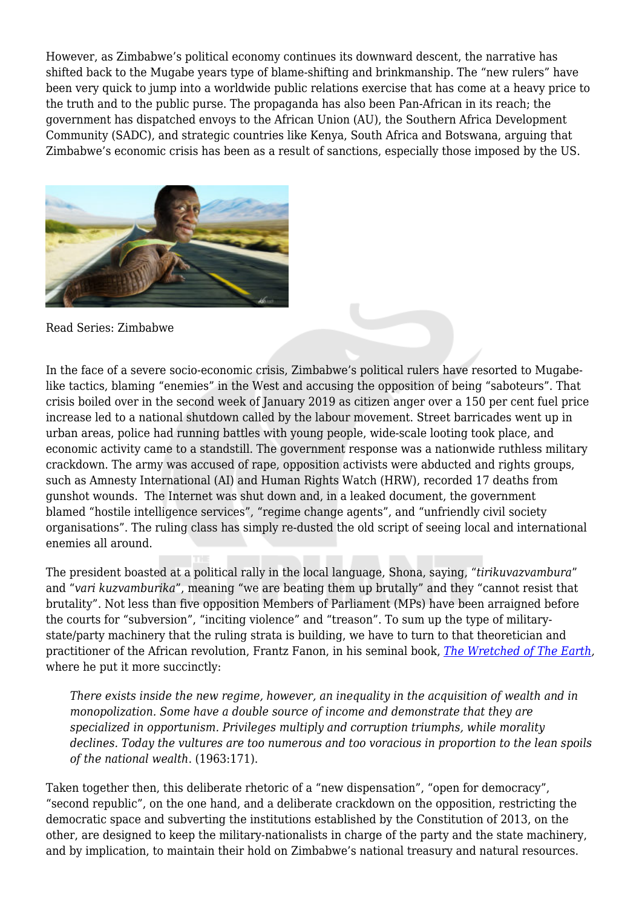However, as Zimbabwe's political economy continues its downward descent, the narrative has shifted back to the Mugabe years type of blame-shifting and brinkmanship. The "new rulers" have been very quick to jump into a worldwide public relations exercise that has come at a heavy price to the truth and to the public purse. The propaganda has also been Pan-African in its reach; the government has dispatched envoys to the African Union (AU), the Southern Africa Development Community (SADC), and strategic countries like Kenya, South Africa and Botswana, arguing that Zimbabwe's economic crisis has been as a result of sanctions, especially those imposed by the US.



Read Series: Zimbabwe

In the face of a severe socio-economic crisis, Zimbabwe's political rulers have resorted to Mugabelike tactics, blaming "enemies" in the West and accusing the opposition of being "saboteurs". That crisis boiled over in the second week of January 2019 as citizen anger over a 150 per cent fuel price increase led to a national shutdown called by the labour movement. Street barricades went up in urban areas, police had running battles with young people, wide-scale looting took place, and economic activity came to a standstill. The government response was a nationwide ruthless military crackdown. The army was accused of rape, opposition activists were abducted and rights groups, such as Amnesty International (AI) and Human Rights Watch (HRW), recorded 17 deaths from gunshot wounds. The Internet was shut down and, in a leaked document, the government blamed "hostile intelligence services", "regime change agents", and "unfriendly civil society organisations". The ruling class has simply re-dusted the old script of seeing local and international enemies all around.

The president boasted at a political rally in the local language, Shona, saying, "*tirikuvazvambura*" and "*vari kuzvamburika*", meaning "we are beating them up brutally" and they "cannot resist that brutality". Not less than five opposition Members of Parliament (MPs) have been arraigned before the courts for "subversion", "inciting violence" and "treason". To sum up the type of militarystate/party machinery that the ruling strata is building, we have to turn to that theoretician and practitioner of the African revolution, Frantz Fanon, in his seminal book, *[The Wretched of The Earth,](http://abahlali.org/wp-content/uploads/2011/04/Frantz-Fanon-The-Wretched-of-the-Earth-1965.pdf)* where he put it more succinctly:

*There exists inside the new regime, however, an inequality in the acquisition of wealth and in monopolization. Some have a double source of income and demonstrate that they are specialized in opportunism. Privileges multiply and corruption triumphs, while morality declines. Today the vultures are too numerous and too voracious in proportion to the lean spoils of the national wealth*. (1963:171).

Taken together then, this deliberate rhetoric of a "new dispensation", "open for democracy", "second republic", on the one hand, and a deliberate crackdown on the opposition, restricting the democratic space and subverting the institutions established by the Constitution of 2013, on the other, are designed to keep the military-nationalists in charge of the party and the state machinery, and by implication, to maintain their hold on Zimbabwe's national treasury and natural resources.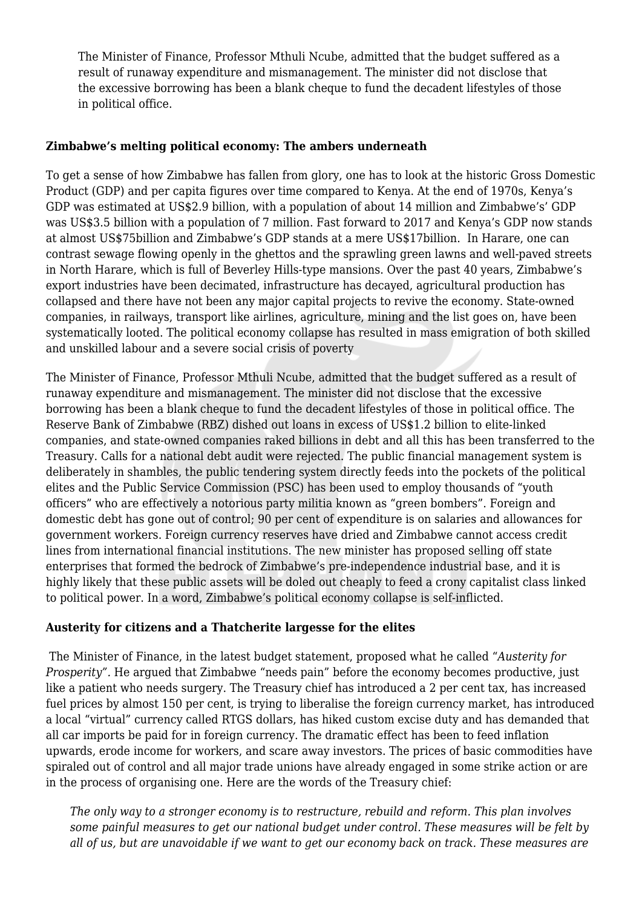The Minister of Finance, Professor Mthuli Ncube, admitted that the budget suffered as a result of runaway expenditure and mismanagement. The minister did not disclose that the excessive borrowing has been a blank cheque to fund the decadent lifestyles of those in political office.

### **Zimbabwe's melting political economy: The ambers underneath**

To get a sense of how Zimbabwe has fallen from glory, one has to look at the historic Gross Domestic Product (GDP) and per capita figures over time compared to Kenya. At the end of 1970s, Kenya's GDP was estimated at US\$2.9 billion, with a population of about 14 million and Zimbabwe's' GDP was US\$3.5 billion with a population of 7 million. Fast forward to 2017 and Kenya's GDP now stands at almost US\$75billion and Zimbabwe's GDP stands at a mere US\$17billion. In Harare, one can contrast sewage flowing openly in the ghettos and the sprawling green lawns and well-paved streets in North Harare, which is full of Beverley Hills-type mansions. Over the past 40 years, Zimbabwe's export industries have been decimated, infrastructure has decayed, agricultural production has collapsed and there have not been any major capital projects to revive the economy. State-owned companies, in railways, transport like airlines, agriculture, mining and the list goes on, have been systematically looted. The political economy collapse has resulted in mass emigration of both skilled and unskilled labour and a severe social crisis of poverty

The Minister of Finance, Professor Mthuli Ncube, admitted that the budget suffered as a result of runaway expenditure and mismanagement. The minister did not disclose that the excessive borrowing has been a blank cheque to fund the decadent lifestyles of those in political office. The Reserve Bank of Zimbabwe (RBZ) dished out loans in excess of US\$1.2 billion to elite-linked companies, and state-owned companies raked billions in debt and all this has been transferred to the Treasury. Calls for a national debt audit were rejected. The public financial management system is deliberately in shambles, the public tendering system directly feeds into the pockets of the political elites and the Public Service Commission (PSC) has been used to employ thousands of "youth officers" who are effectively a notorious party militia known as "green bombers". Foreign and domestic debt has gone out of control; 90 per cent of expenditure is on salaries and allowances for government workers. Foreign currency reserves have dried and Zimbabwe cannot access credit lines from international financial institutions. The new minister has proposed selling off state enterprises that formed the bedrock of Zimbabwe's pre-independence industrial base, and it is highly likely that these public assets will be doled out cheaply to feed a crony capitalist class linked to political power. In a word, Zimbabwe's political economy collapse is self-inflicted.

## **Austerity for citizens and a Thatcherite largesse for the elites**

The Minister of Finance, in the latest budget statement, proposed what he called "*Austerity for Prosperity"*. He argued that Zimbabwe "needs pain" before the economy becomes productive, just like a patient who needs surgery. The Treasury chief has introduced a 2 per cent tax, has increased fuel prices by almost 150 per cent, is trying to liberalise the foreign currency market, has introduced a local "virtual" currency called RTGS dollars, has hiked custom excise duty and has demanded that all car imports be paid for in foreign currency. The dramatic effect has been to feed inflation upwards, erode income for workers, and scare away investors. The prices of basic commodities have spiraled out of control and all major trade unions have already engaged in some strike action or are in the process of organising one. Here are the words of the Treasury chief:

*The only way to a stronger economy is to restructure, rebuild and reform. This plan involves some painful measures to get our national budget under control. These measures will be felt by all of us, but are unavoidable if we want to get our economy back on track. These measures are*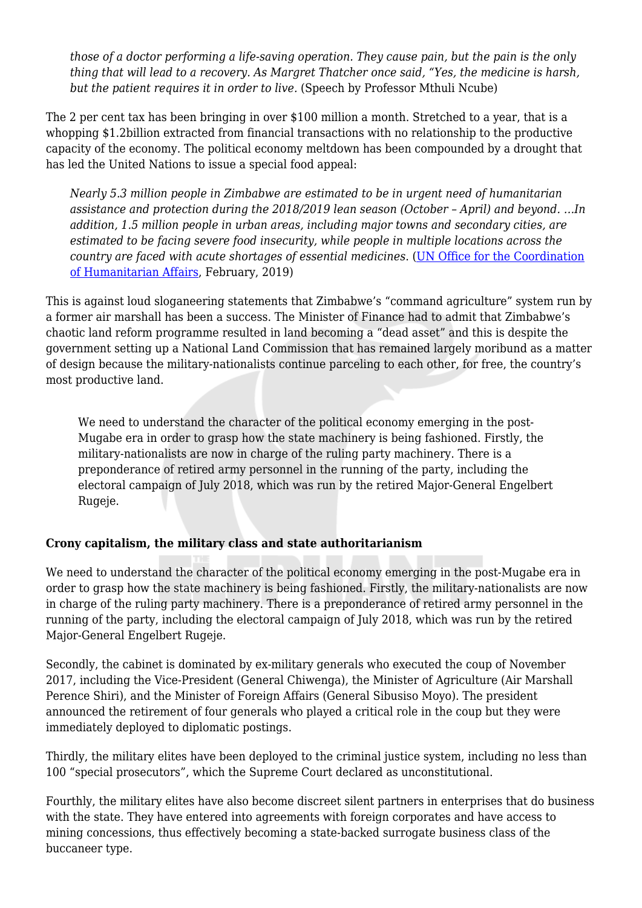*those of a doctor performing a life-saving operation. They cause pain, but the pain is the only thing that will lead to a recovery. As Margret Thatcher once said, "Yes, the medicine is harsh, but the patient requires it in order to live.* (Speech by Professor Mthuli Ncube)

The 2 per cent tax has been bringing in over \$100 million a month. Stretched to a year, that is a whopping \$1.2billion extracted from financial transactions with no relationship to the productive capacity of the economy. The political economy meltdown has been compounded by a drought that has led the United Nations to issue a special food appeal:

*Nearly 5.3 million people in Zimbabwe are estimated to be in urgent need of humanitarian assistance and protection during the 2018/2019 lean season (October – April) and beyond. …In addition, 1.5 million people in urban areas, including major towns and secondary cities, are estimated to be facing severe food insecurity, while people in multiple locations across the country are faced with acute shortages of essential medicines*. [\(UN Office for the Coordination](https://reliefweb.int/organization/ocha) [of Humanitarian Affairs](https://reliefweb.int/organization/ocha), February, 2019)

This is against loud sloganeering statements that Zimbabwe's "command agriculture" system run by a former air marshall has been a success. The Minister of Finance had to admit that Zimbabwe's chaotic land reform programme resulted in land becoming a "dead asset" and this is despite the government setting up a National Land Commission that has remained largely moribund as a matter of design because the military-nationalists continue parceling to each other, for free, the country's most productive land.

We need to understand the character of the political economy emerging in the post-Mugabe era in order to grasp how the state machinery is being fashioned. Firstly, the military-nationalists are now in charge of the ruling party machinery. There is a preponderance of retired army personnel in the running of the party, including the electoral campaign of July 2018, which was run by the retired Major-General Engelbert Rugeje.

## **Crony capitalism, the military class and state authoritarianism**

We need to understand the character of the political economy emerging in the post-Mugabe era in order to grasp how the state machinery is being fashioned. Firstly, the military-nationalists are now in charge of the ruling party machinery. There is a preponderance of retired army personnel in the running of the party, including the electoral campaign of July 2018, which was run by the retired Major-General Engelbert Rugeje.

Secondly, the cabinet is dominated by ex-military generals who executed the coup of November 2017, including the Vice-President (General Chiwenga), the Minister of Agriculture (Air Marshall Perence Shiri), and the Minister of Foreign Affairs (General Sibusiso Moyo). The president announced the retirement of four generals who played a critical role in the coup but they were immediately deployed to diplomatic postings.

Thirdly, the military elites have been deployed to the criminal justice system, including no less than 100 "special prosecutors", which the Supreme Court declared as unconstitutional.

Fourthly, the military elites have also become discreet silent partners in enterprises that do business with the state. They have entered into agreements with foreign corporates and have access to mining concessions, thus effectively becoming a state-backed surrogate business class of the buccaneer type.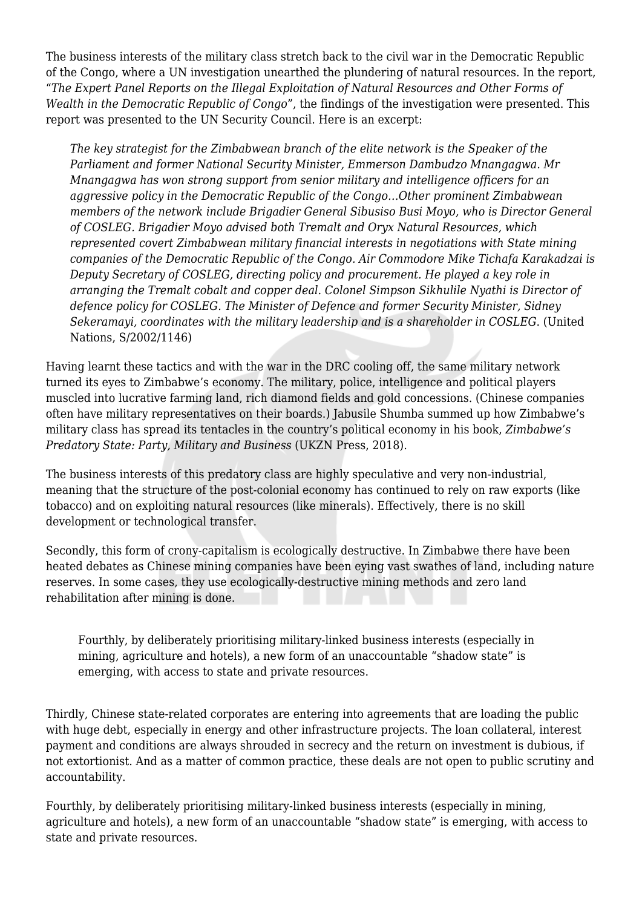The business interests of the military class stretch back to the civil war in the Democratic Republic of the Congo, where a UN investigation unearthed the plundering of natural resources. In the report, "*The Expert Panel Reports on the Illegal Exploitation of Natural Resources and Other Forms of Wealth in the Democratic Republic of Congo*", the findings of the investigation were presented. This report was presented to the UN Security Council. Here is an excerpt:

*The key strategist for the Zimbabwean branch of the elite network is the Speaker of the Parliament and former National Security Minister, Emmerson Dambudzo Mnangagwa. Mr Mnangagwa has won strong support from senior military and intelligence officers for an aggressive policy in the Democratic Republic of the Congo…Other prominent Zimbabwean members of the network include Brigadier General Sibusiso Busi Moyo, who is Director General of COSLEG. Brigadier Moyo advised both Tremalt and Oryx Natural Resources, which represented covert Zimbabwean military financial interests in negotiations with State mining companies of the Democratic Republic of the Congo. Air Commodore Mike Tichafa Karakadzai is Deputy Secretary of COSLEG, directing policy and procurement. He played a key role in arranging the Tremalt cobalt and copper deal. Colonel Simpson Sikhulile Nyathi is Director of defence policy for COSLEG. The Minister of Defence and former Security Minister, Sidney Sekeramayi, coordinates with the military leadership and is a shareholder in COSLEG*. (United Nations, S/2002/1146)

Having learnt these tactics and with the war in the DRC cooling off, the same military network turned its eyes to Zimbabwe's economy. The military, police, intelligence and political players muscled into lucrative farming land, rich diamond fields and gold concessions. (Chinese companies often have military representatives on their boards.) Jabusile Shumba summed up how Zimbabwe's military class has spread its tentacles in the country's political economy in his book, *Zimbabwe's Predatory State: Party, Military and Business* (UKZN Press, 2018).

The business interests of this predatory class are highly speculative and very non-industrial, meaning that the structure of the post-colonial economy has continued to rely on raw exports (like tobacco) and on exploiting natural resources (like minerals). Effectively, there is no skill development or technological transfer.

Secondly, this form of crony-capitalism is ecologically destructive. In Zimbabwe there have been heated debates as Chinese mining companies have been eying vast swathes of land, including nature reserves. In some cases, they use ecologically-destructive mining methods and zero land rehabilitation after mining is done.

Fourthly, by deliberately prioritising military-linked business interests (especially in mining, agriculture and hotels), a new form of an unaccountable "shadow state" is emerging, with access to state and private resources.

Thirdly, Chinese state-related corporates are entering into agreements that are loading the public with huge debt, especially in energy and other infrastructure projects. The loan collateral, interest payment and conditions are always shrouded in secrecy and the return on investment is dubious, if not extortionist. And as a matter of common practice, these deals are not open to public scrutiny and accountability.

Fourthly, by deliberately prioritising military-linked business interests (especially in mining, agriculture and hotels), a new form of an unaccountable "shadow state" is emerging, with access to state and private resources.